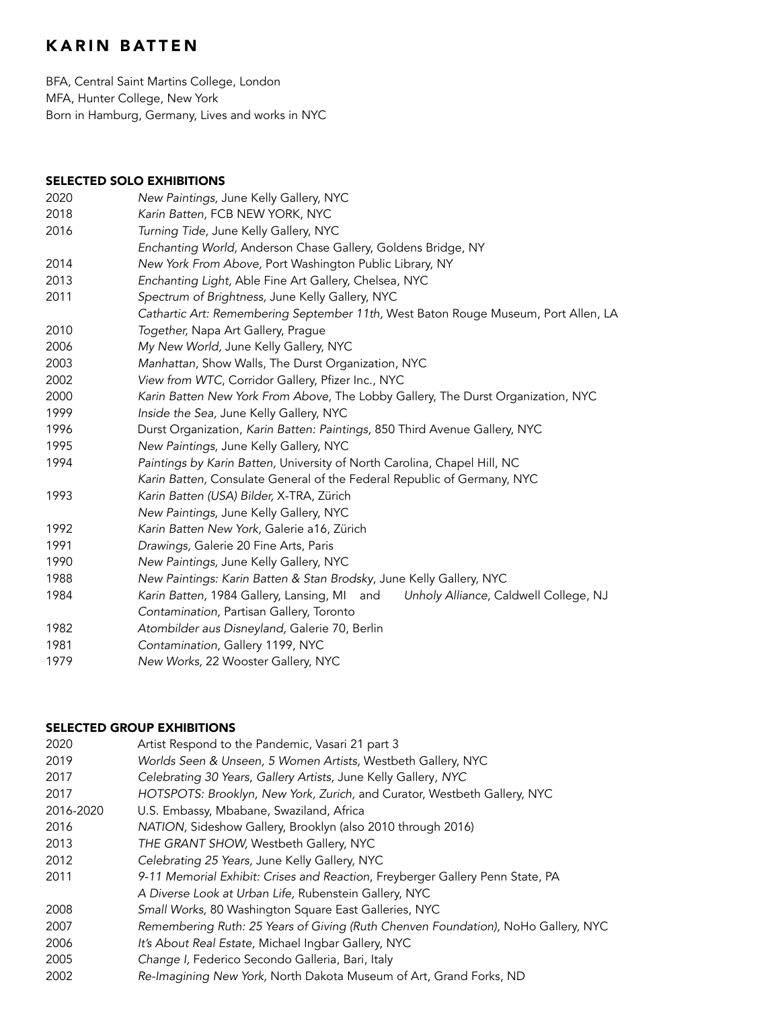# KARIN BATTEN

BFA, Central Saint Martins College, London MFA, Hunter College, New York Born in Hamburg, Germany, Lives and works in NYC

#### SELECTED SOLO EXHIBITIONS

| 2020 | New Paintings, June Kelly Gallery, NYC                                               |
|------|--------------------------------------------------------------------------------------|
| 2018 | Karin Batten, FCB NEW YORK, NYC                                                      |
| 2016 | Turning Tide, June Kelly Gallery, NYC                                                |
|      | Enchanting World, Anderson Chase Gallery, Goldens Bridge, NY                         |
| 2014 | New York From Above, Port Washington Public Library, NY                              |
| 2013 | Enchanting Light, Able Fine Art Gallery, Chelsea, NYC                                |
| 2011 | Spectrum of Brightness, June Kelly Gallery, NYC                                      |
|      | Cathartic Art: Remembering September 11th, West Baton Rouge Museum, Port Allen, LA   |
| 2010 | Together, Napa Art Gallery, Prague                                                   |
| 2006 | My New World, June Kelly Gallery, NYC                                                |
| 2003 | Manhattan, Show Walls, The Durst Organization, NYC                                   |
| 2002 | View from WTC, Corridor Gallery, Pfizer Inc., NYC                                    |
| 2000 | Karin Batten New York From Above, The Lobby Gallery, The Durst Organization, NYC     |
| 1999 | Inside the Sea, June Kelly Gallery, NYC                                              |
| 1996 | Durst Organization, Karin Batten: Paintings, 850 Third Avenue Gallery, NYC           |
| 1995 | New Paintings, June Kelly Gallery, NYC                                               |
| 1994 | Paintings by Karin Batten, University of North Carolina, Chapel Hill, NC             |
|      | Karin Batten, Consulate General of the Federal Republic of Germany, NYC              |
| 1993 | Karin Batten (USA) Bilder, X-TRA, Zürich                                             |
|      | New Paintings, June Kelly Gallery, NYC                                               |
| 1992 | Karin Batten New York, Galerie a16, Zürich                                           |
| 1991 | Drawings, Galerie 20 Fine Arts, Paris                                                |
| 1990 | New Paintings, June Kelly Gallery, NYC                                               |
| 1988 | New Paintings: Karin Batten & Stan Brodsky, June Kelly Gallery, NYC                  |
| 1984 | Karin Batten, 1984 Gallery, Lansing, MI and<br>Unholy Alliance, Caldwell College, NJ |
|      | Contamination, Partisan Gallery, Toronto                                             |
| 1982 | Atombilder aus Disneyland, Galerie 70, Berlin                                        |
| 1981 | Contamination, Gallery 1199, NYC                                                     |
| 1979 | New Works, 22 Wooster Gallery, NYC                                                   |
|      |                                                                                      |

### SELECTED GROUP EXHIBITIONS

| 2020      | Artist Respond to the Pandemic, Vasari 21 part 3                                  |
|-----------|-----------------------------------------------------------------------------------|
| 2019      | Worlds Seen & Unseen, 5 Women Artists, Westbeth Gallery, NYC                      |
| 2017      | Celebrating 30 Years, Gallery Artists, June Kelly Gallery, NYC                    |
| 2017      | HOTSPOTS: Brooklyn, New York, Zurich, and Curator, Westbeth Gallery, NYC          |
| 2016-2020 | U.S. Embassy, Mbabane, Swaziland, Africa                                          |
| 2016      | NATION, Sideshow Gallery, Brooklyn (also 2010 through 2016)                       |
| 2013      | THE GRANT SHOW, Westbeth Gallery, NYC                                             |
| 2012      | Celebrating 25 Years, June Kelly Gallery, NYC                                     |
| 2011      | 9-11 Memorial Exhibit: Crises and Reaction, Freyberger Gallery Penn State, PA     |
|           | A Diverse Look at Urban Life, Rubenstein Gallery, NYC                             |
| 2008      | Small Works, 80 Washington Square East Galleries, NYC                             |
| 2007      | Remembering Ruth: 25 Years of Giving (Ruth Chenven Foundation), NoHo Gallery, NYC |
| 2006      | It's About Real Estate, Michael Ingbar Gallery, NYC                               |
| 2005      | Change I, Federico Secondo Galleria, Bari, Italy                                  |
| 2002      | Re-Imagining New York, North Dakota Museum of Art, Grand Forks, ND                |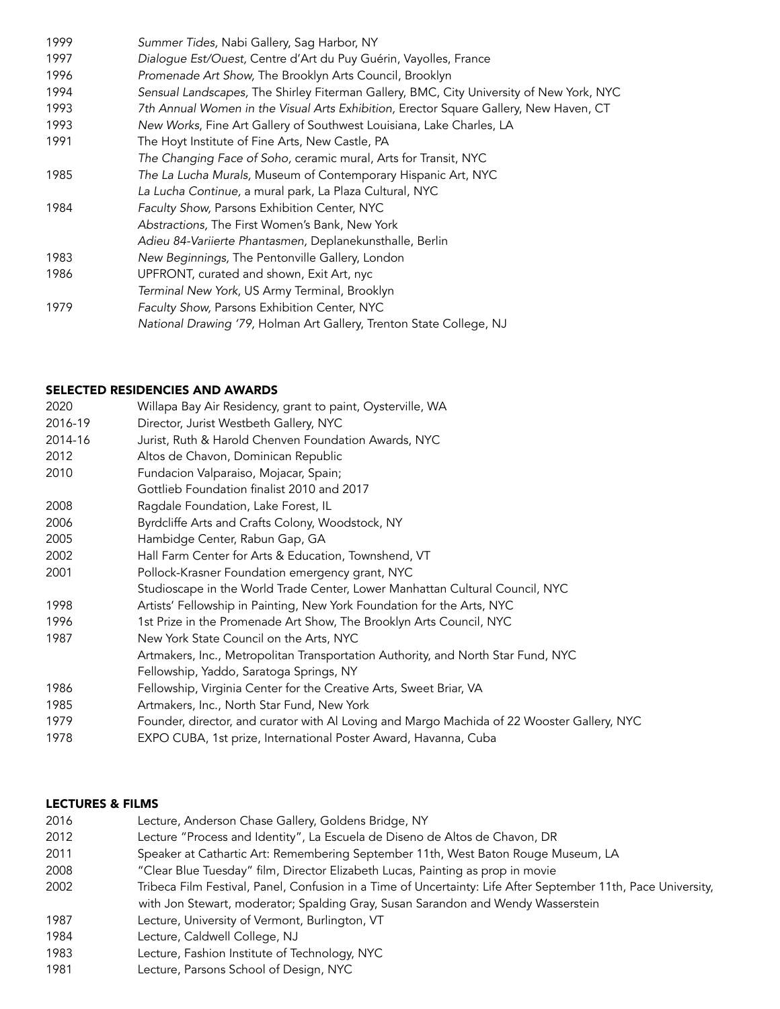| 1999 | Summer Tides, Nabi Gallery, Sag Harbor, NY                                              |
|------|-----------------------------------------------------------------------------------------|
| 1997 | Dialogue Est/Ouest, Centre d'Art du Puy Guérin, Vayolles, France                        |
| 1996 | Promenade Art Show, The Brooklyn Arts Council, Brooklyn                                 |
| 1994 | Sensual Landscapes, The Shirley Fiterman Gallery, BMC, City University of New York, NYC |
| 1993 | 7th Annual Women in the Visual Arts Exhibition, Erector Square Gallery, New Haven, CT   |
| 1993 | New Works, Fine Art Gallery of Southwest Louisiana, Lake Charles, LA                    |
| 1991 | The Hoyt Institute of Fine Arts, New Castle, PA                                         |
|      | The Changing Face of Soho, ceramic mural, Arts for Transit, NYC                         |
| 1985 | The La Lucha Murals, Museum of Contemporary Hispanic Art, NYC                           |
|      | La Lucha Continue, a mural park, La Plaza Cultural, NYC                                 |
| 1984 | Faculty Show, Parsons Exhibition Center, NYC                                            |
|      | Abstractions, The First Women's Bank, New York                                          |
|      | Adieu 84-Variierte Phantasmen, Deplanekunsthalle, Berlin                                |
| 1983 | New Beginnings, The Pentonville Gallery, London                                         |
| 1986 | UPFRONT, curated and shown, Exit Art, nyc                                               |
|      | Terminal New York, US Army Terminal, Brooklyn                                           |
| 1979 | Faculty Show, Parsons Exhibition Center, NYC                                            |
|      | National Drawing '79, Holman Art Gallery, Trenton State College, NJ                     |

## SELECTED RESIDENCIES AND AWARDS

| 2020    | Willapa Bay Air Residency, grant to paint, Oysterville, WA                                 |
|---------|--------------------------------------------------------------------------------------------|
| 2016-19 | Director, Jurist Westbeth Gallery, NYC                                                     |
| 2014-16 | Jurist, Ruth & Harold Chenven Foundation Awards, NYC                                       |
| 2012    | Altos de Chavon, Dominican Republic                                                        |
| 2010    | Fundacion Valparaiso, Mojacar, Spain;                                                      |
|         | Gottlieb Foundation finalist 2010 and 2017                                                 |
| 2008    | Ragdale Foundation, Lake Forest, IL                                                        |
| 2006    | Byrdcliffe Arts and Crafts Colony, Woodstock, NY                                           |
| 2005    | Hambidge Center, Rabun Gap, GA                                                             |
| 2002    | Hall Farm Center for Arts & Education, Townshend, VT                                       |
| 2001    | Pollock-Krasner Foundation emergency grant, NYC                                            |
|         | Studioscape in the World Trade Center, Lower Manhattan Cultural Council, NYC               |
| 1998    | Artists' Fellowship in Painting, New York Foundation for the Arts, NYC                     |
| 1996    | 1st Prize in the Promenade Art Show, The Brooklyn Arts Council, NYC                        |
| 1987    | New York State Council on the Arts, NYC                                                    |
|         | Artmakers, Inc., Metropolitan Transportation Authority, and North Star Fund, NYC           |
|         | Fellowship, Yaddo, Saratoga Springs, NY                                                    |
| 1986    | Fellowship, Virginia Center for the Creative Arts, Sweet Briar, VA                         |
| 1985    | Artmakers, Inc., North Star Fund, New York                                                 |
| 1979    | Founder, director, and curator with Al Loving and Margo Machida of 22 Wooster Gallery, NYC |
| 1978    | EXPO CUBA, 1st prize, International Poster Award, Havanna, Cuba                            |
|         |                                                                                            |

## LECTURES & FILMS

| 2016 | Lecture, Anderson Chase Gallery, Goldens Bridge, NY                                                           |
|------|---------------------------------------------------------------------------------------------------------------|
| 2012 | Lecture "Process and Identity", La Escuela de Diseno de Altos de Chavon, DR                                   |
| 2011 | Speaker at Cathartic Art: Remembering September 11th, West Baton Rouge Museum, LA                             |
| 2008 | "Clear Blue Tuesday" film, Director Elizabeth Lucas, Painting as prop in movie                                |
| 2002 | Tribeca Film Festival, Panel, Confusion in a Time of Uncertainty: Life After September 11th, Pace University, |
|      | with Jon Stewart, moderator; Spalding Gray, Susan Sarandon and Wendy Wasserstein                              |
| 1987 | Lecture, University of Vermont, Burlington, VT                                                                |
| 1984 | Lecture, Caldwell College, NJ                                                                                 |
| 1983 | Lecture, Fashion Institute of Technology, NYC                                                                 |
| 1001 |                                                                                                               |

Lecture, Parsons School of Design, NYC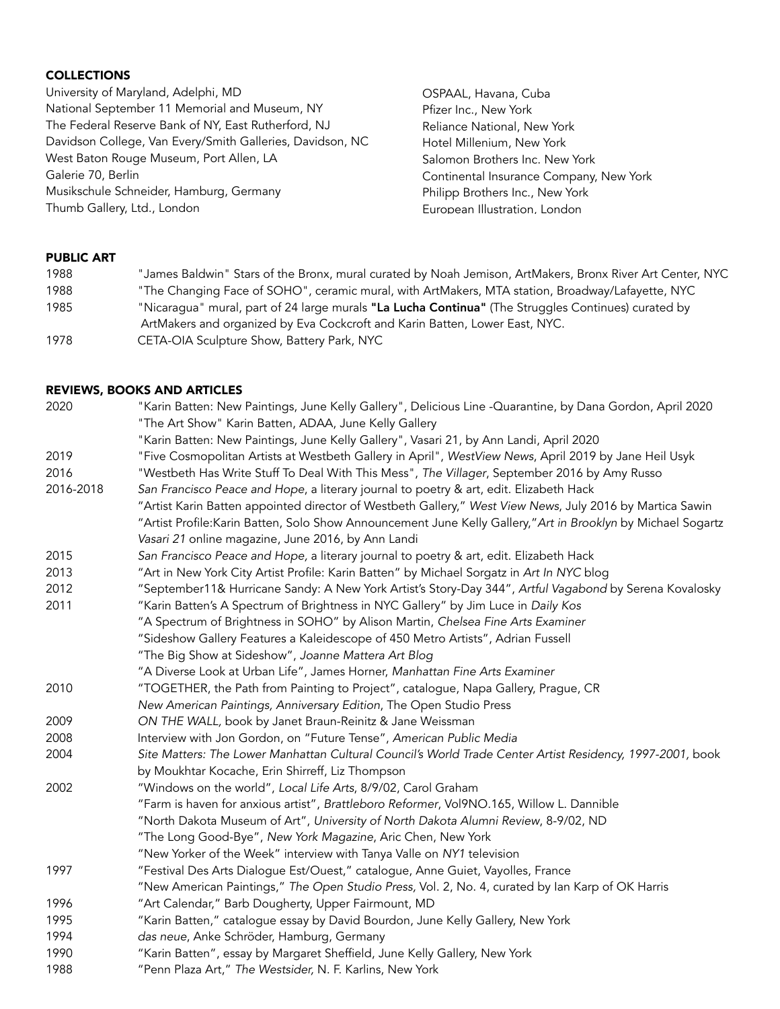#### **COLLECTIONS**

University of Maryland, Adelphi, MD National September 11 Memorial and Museum, NY The Federal Reserve Bank of NY, East Rutherford, NJ Davidson College, Van Every/Smith Galleries, Davidson, NC West Baton Rouge Museum, Port Allen, LA Galerie 70, Berlin Musikschule Schneider, Hamburg, Germany Thumb Gallery, Ltd., London

OSPAAL, Havana, Cuba Pfizer Inc., New York Reliance National, New York Hotel Millenium, New York Salomon Brothers Inc. New York Continental Insurance Company, New York Philipp Brothers Inc., New York European Illustration, London

#### PUBLIC ART

| 1988 | "James Baldwin" Stars of the Bronx, mural curated by Noah Jemison, ArtMakers, Bronx River Art Center, NYC |
|------|-----------------------------------------------------------------------------------------------------------|
| 1988 | "The Changing Face of SOHO", ceramic mural, with ArtMakers, MTA station, Broadway/Lafayette, NYC          |
| 1985 | "Nicaragua" mural, part of 24 large murals "La Lucha Continua" (The Struggles Continues) curated by       |
|      | ArtMakers and organized by Eva Cockcroft and Karin Batten, Lower East, NYC.                               |
| 1978 | CETA-OIA Sculpture Show, Battery Park, NYC                                                                |

#### REVIEWS, BOOKS AND ARTICLES

| 2020      | "Karin Batten: New Paintings, June Kelly Gallery", Delicious Line -Quarantine, by Dana Gordon, April 2020     |
|-----------|---------------------------------------------------------------------------------------------------------------|
|           | "The Art Show" Karin Batten, ADAA, June Kelly Gallery                                                         |
|           | "Karin Batten: New Paintings, June Kelly Gallery", Vasari 21, by Ann Landi, April 2020                        |
| 2019      | "Five Cosmopolitan Artists at Westbeth Gallery in April", WestView News, April 2019 by Jane Heil Usyk         |
| 2016      | "Westbeth Has Write Stuff To Deal With This Mess", The Villager, September 2016 by Amy Russo                  |
| 2016-2018 | San Francisco Peace and Hope, a literary journal to poetry & art, edit. Elizabeth Hack                        |
|           | "Artist Karin Batten appointed director of Westbeth Gallery," West View News, July 2016 by Martica Sawin      |
|           | "Artist Profile: Karin Batten, Solo Show Announcement June Kelly Gallery," Art in Brooklyn by Michael Sogartz |
|           | Vasari 21 online magazine, June 2016, by Ann Landi                                                            |
| 2015      | San Francisco Peace and Hope, a literary journal to poetry & art, edit. Elizabeth Hack                        |
| 2013      | "Art in New York City Artist Profile: Karin Batten" by Michael Sorgatz in Art In NYC blog                     |
| 2012      | "September11& Hurricane Sandy: A New York Artist's Story-Day 344", Artful Vagabond by Serena Kovalosky        |
| 2011      | "Karin Batten's A Spectrum of Brightness in NYC Gallery" by Jim Luce in Daily Kos                             |
|           | "A Spectrum of Brightness in SOHO" by Alison Martin, Chelsea Fine Arts Examiner                               |
|           | "Sideshow Gallery Features a Kaleidescope of 450 Metro Artists", Adrian Fussell                               |
|           | "The Big Show at Sideshow", Joanne Mattera Art Blog                                                           |
|           | "A Diverse Look at Urban Life", James Horner, Manhattan Fine Arts Examiner                                    |
| 2010      | "TOGETHER, the Path from Painting to Project", catalogue, Napa Gallery, Prague, CR                            |
|           | New American Paintings, Anniversary Edition, The Open Studio Press                                            |
| 2009      | ON THE WALL, book by Janet Braun-Reinitz & Jane Weissman                                                      |
| 2008      | Interview with Jon Gordon, on "Future Tense", American Public Media                                           |
| 2004      | Site Matters: The Lower Manhattan Cultural Council's World Trade Center Artist Residency, 1997-2001, book     |
|           | by Moukhtar Kocache, Erin Shirreff, Liz Thompson                                                              |
| 2002      | "Windows on the world", Local Life Arts, 8/9/02, Carol Graham                                                 |
|           | "Farm is haven for anxious artist", Brattleboro Reformer, Vol9NO.165, Willow L. Dannible                      |
|           | "North Dakota Museum of Art", University of North Dakota Alumni Review, 8-9/02, ND                            |
|           | "The Long Good-Bye", New York Magazine, Aric Chen, New York                                                   |
|           | "New Yorker of the Week" interview with Tanya Valle on NY1 television                                         |
| 1997      | "Festival Des Arts Dialogue Est/Ouest," catalogue, Anne Guiet, Vayolles, France                               |
|           | "New American Paintings," The Open Studio Press, Vol. 2, No. 4, curated by Ian Karp of OK Harris              |
| 1996      | "Art Calendar," Barb Dougherty, Upper Fairmount, MD                                                           |
| 1995      | "Karin Batten," catalogue essay by David Bourdon, June Kelly Gallery, New York                                |
| 1994      | das neue, Anke Schröder, Hamburg, Germany                                                                     |
| 1990      | "Karin Batten", essay by Margaret Sheffield, June Kelly Gallery, New York                                     |
| 1988      | "Penn Plaza Art," The Westsider, N. F. Karlins, New York                                                      |